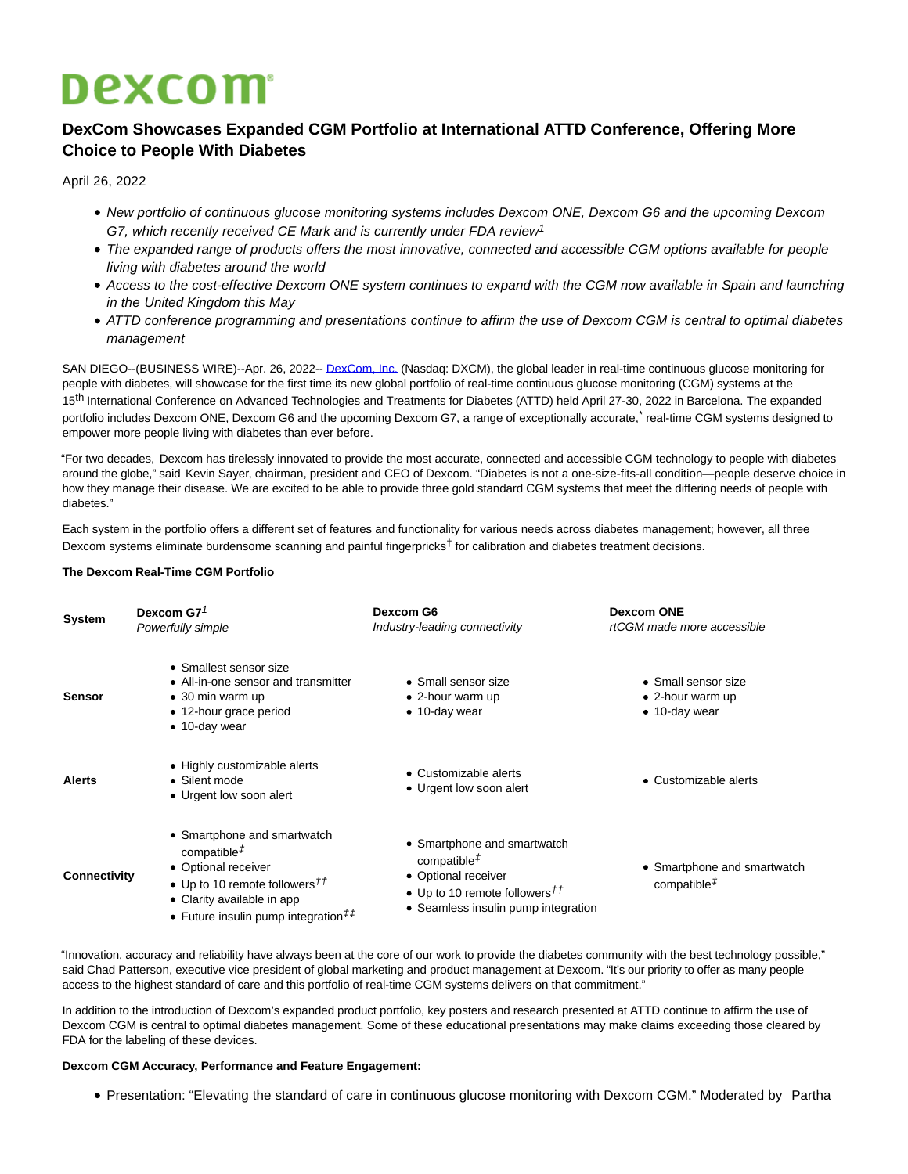# **Dexcom**

## **DexCom Showcases Expanded CGM Portfolio at International ATTD Conference, Offering More Choice to People With Diabetes**

April 26, 2022

- New portfolio of continuous glucose monitoring systems includes Dexcom ONE, Dexcom G6 and the upcoming Dexcom G7, which recently received CE Mark and is currently under FDA review<sup>1</sup>
- The expanded range of products offers the most innovative, connected and accessible CGM options available for people living with diabetes around the world
- Access to the cost-effective Dexcom ONE system continues to expand with the CGM now available in Spain and launching in the United Kingdom this May
- ATTD conference programming and presentations continue to affirm the use of Dexcom CGM is central to optimal diabetes management

SAN DIEGO--(BUSINESS WIRE)--Apr. 26, 2022-[- DexCom, Inc. \(](https://cts.businesswire.com/ct/CT?id=smartlink&url=http%3A%2F%2Fwww.dexcom.com%2F&esheet=52697442&newsitemid=20220425006053&lan=en-US&anchor=DexCom%2C+Inc.&index=1&md5=e3c3f1a00553c9d757dab1d143553507)Nasdaq: DXCM), the global leader in real-time continuous glucose monitoring for people with diabetes, will showcase for the first time its new global portfolio of real-time continuous glucose monitoring (CGM) systems at the 15<sup>th</sup> International Conference on Advanced Technologies and Treatments for Diabetes (ATTD) held April 27-30, 2022 in Barcelona. The expanded portfolio includes Dexcom ONE, Dexcom G6 and the upcoming Dexcom G7, a range of exceptionally accurate, treal-time CGM systems designed to empower more people living with diabetes than ever before.

"For two decades, Dexcom has tirelessly innovated to provide the most accurate, connected and accessible CGM technology to people with diabetes around the globe," said Kevin Sayer, chairman, president and CEO of Dexcom. "Diabetes is not a one-size-fits-all condition—people deserve choice in how they manage their disease. We are excited to be able to provide three gold standard CGM systems that meet the differing needs of people with diahatas."

Each system in the portfolio offers a different set of features and functionality for various needs across diabetes management; however, all three Dexcom systems eliminate burdensome scanning and painful fingerpricks<sup>†</sup> for calibration and diabetes treatment decisions.

#### **The Dexcom Real-Time CGM Portfolio**

| <b>System</b> | Dexcom G7 $7$<br>Powerfully simple                                                                                                                                                                       | Dexcom G6<br>Industry-leading connectivity                                                                                                                                           | <b>Dexcom ONE</b><br>rtCGM made more accessible                     |
|---------------|----------------------------------------------------------------------------------------------------------------------------------------------------------------------------------------------------------|--------------------------------------------------------------------------------------------------------------------------------------------------------------------------------------|---------------------------------------------------------------------|
| <b>Sensor</b> | • Smallest sensor size<br>• All-in-one sensor and transmitter<br>$\bullet$ 30 min warm up<br>• 12-hour grace period<br>$\bullet$ 10-day wear                                                             | • Small sensor size<br>$\bullet$ 2-hour warm up<br>$\bullet$ 10-day wear                                                                                                             | • Small sensor size<br>• 2-hour warm up<br>$\bullet$ 10-day wear    |
| <b>Alerts</b> | • Highly customizable alerts<br>• Silent mode<br>• Urgent low soon alert                                                                                                                                 | • Customizable alerts<br>• Urgent low soon alert                                                                                                                                     | • Customizable alerts                                               |
| Connectivity  | • Smartphone and smartwatch<br>compatible <sup><math>#</math></sup><br>• Optional receiver<br>• Up to 10 remote followers $^{11}$<br>• Clarity available in app<br>• Future insulin pump integration $#$ | • Smartphone and smartwatch<br>compatible <sup><math>#</math></sup><br>• Optional receiver<br>• Up to 10 remote followers $^{\dagger\dagger}$<br>• Seamless insulin pump integration | • Smartphone and smartwatch<br>compatible <sup><math>#</math></sup> |

"Innovation, accuracy and reliability have always been at the core of our work to provide the diabetes community with the best technology possible," said Chad Patterson, executive vice president of global marketing and product management at Dexcom. "It's our priority to offer as many people access to the highest standard of care and this portfolio of real-time CGM systems delivers on that commitment."

In addition to the introduction of Dexcom's expanded product portfolio, key posters and research presented at ATTD continue to affirm the use of Dexcom CGM is central to optimal diabetes management. Some of these educational presentations may make claims exceeding those cleared by FDA for the labeling of these devices.

#### **Dexcom CGM Accuracy, Performance and Feature Engagement:**

Presentation: "Elevating the standard of care in continuous glucose monitoring with Dexcom CGM." Moderated by Partha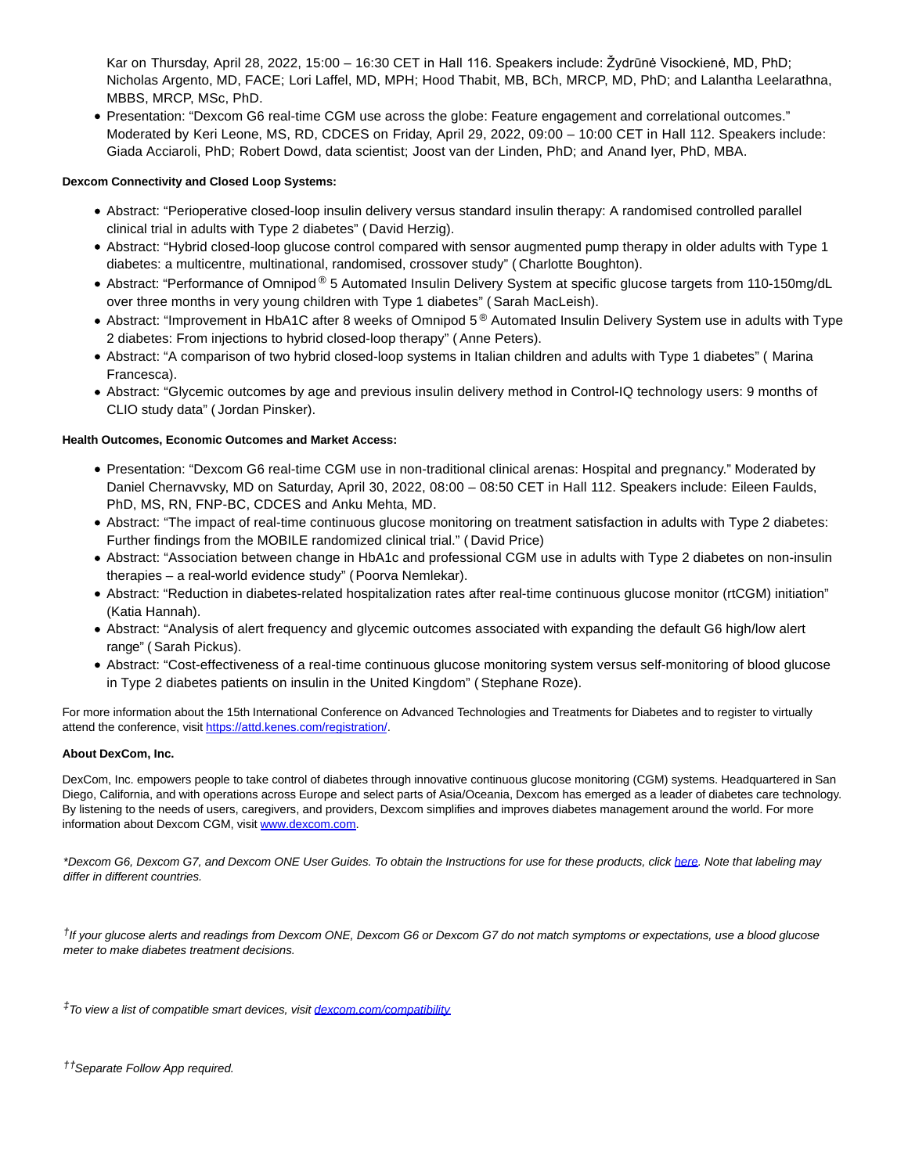Kar on Thursday, April 28, 2022, 15:00 – 16:30 CET in Hall 116. Speakers include: Žydrūnė Visockienė, MD, PhD; Nicholas Argento, MD, FACE; Lori Laffel, MD, MPH; Hood Thabit, MB, BCh, MRCP, MD, PhD; and Lalantha Leelarathna, MBBS, MRCP, MSc, PhD.

Presentation: "Dexcom G6 real-time CGM use across the globe: Feature engagement and correlational outcomes." Moderated by Keri Leone, MS, RD, CDCES on Friday, April 29, 2022, 09:00 – 10:00 CET in Hall 112. Speakers include: Giada Acciaroli, PhD; Robert Dowd, data scientist; Joost van der Linden, PhD; and Anand Iyer, PhD, MBA.

### **Dexcom Connectivity and Closed Loop Systems:**

- Abstract: "Perioperative closed-loop insulin delivery versus standard insulin therapy: A randomised controlled parallel clinical trial in adults with Type 2 diabetes" ( David Herzig).
- Abstract: "Hybrid closed-loop glucose control compared with sensor augmented pump therapy in older adults with Type 1 diabetes: a multicentre, multinational, randomised, crossover study" ( Charlotte Boughton).
- Abstract: "Performance of Omnipod ® 5 Automated Insulin Delivery System at specific glucose targets from 110-150mg/dL over three months in very young children with Type 1 diabetes" ( Sarah MacLeish).
- Abstract: "Improvement in HbA1C after 8 weeks of Omnipod 5<sup>®</sup> Automated Insulin Delivery System use in adults with Type 2 diabetes: From injections to hybrid closed-loop therapy" ( Anne Peters).
- Abstract: "A comparison of two hybrid closed-loop systems in Italian children and adults with Type 1 diabetes" ( Marina Francesca).
- Abstract: "Glycemic outcomes by age and previous insulin delivery method in Control-IQ technology users: 9 months of CLIO study data" ( Jordan Pinsker).

#### **Health Outcomes, Economic Outcomes and Market Access:**

- Presentation: "Dexcom G6 real-time CGM use in non-traditional clinical arenas: Hospital and pregnancy." Moderated by Daniel Chernavvsky, MD on Saturday, April 30, 2022, 08:00 – 08:50 CET in Hall 112. Speakers include: Eileen Faulds, PhD, MS, RN, FNP-BC, CDCES and Anku Mehta, MD.
- Abstract: "The impact of real-time continuous glucose monitoring on treatment satisfaction in adults with Type 2 diabetes: Further findings from the MOBILE randomized clinical trial." ( David Price)
- Abstract: "Association between change in HbA1c and professional CGM use in adults with Type 2 diabetes on non-insulin therapies – a real-world evidence study" (Poorva Nemlekar).
- Abstract: "Reduction in diabetes-related hospitalization rates after real-time continuous glucose monitor (rtCGM) initiation" (Katia Hannah).
- Abstract: "Analysis of alert frequency and glycemic outcomes associated with expanding the default G6 high/low alert range" ( Sarah Pickus).
- Abstract: "Cost-effectiveness of a real-time continuous glucose monitoring system versus self-monitoring of blood glucose in Type 2 diabetes patients on insulin in the United Kingdom" ( Stephane Roze).

For more information about the 15th International Conference on Advanced Technologies and Treatments for Diabetes and to register to virtually attend the conference, visit [https://attd.kenes.com/registration/.](https://cts.businesswire.com/ct/CT?id=smartlink&url=https%3A%2F%2Fattd.kenes.com%2Fregistration%2F&esheet=52697442&newsitemid=20220425006053&lan=en-US&anchor=https%3A%2F%2Fattd.kenes.com%2Fregistration%2F&index=2&md5=48991109613dd58298eb955ae5d6a143)

#### **About DexCom, Inc.**

DexCom, Inc. empowers people to take control of diabetes through innovative continuous glucose monitoring (CGM) systems. Headquartered in San Diego, California, and with operations across Europe and select parts of Asia/Oceania, Dexcom has emerged as a leader of diabetes care technology. By listening to the needs of users, caregivers, and providers, Dexcom simplifies and improves diabetes management around the world. For more information about Dexcom CGM, visit [www.dexcom.com.](https://cts.businesswire.com/ct/CT?id=smartlink&url=http%3A%2F%2Fwww.dexcom.com&esheet=52697442&newsitemid=20220425006053&lan=en-US&anchor=www.dexcom.com&index=3&md5=23d4b8a47dbdbbf5a8e22118773cf228)

\*Dexcom G6, Dexcom G7, and Dexcom ONE User Guides. To obtain the Instructions for use for these products, click [here.](https://cts.businesswire.com/ct/CT?id=smartlink&url=https%3A%2F%2Fwww.dexcom.com%2Fguides&esheet=52697442&newsitemid=20220425006053&lan=en-US&anchor=here&index=4&md5=f0842978a0b591087656769501dbf64c) Note that labeling may differ in different countries.

†If your glucose alerts and readings from Dexcom ONE, Dexcom G6 or Dexcom G7 do not match symptoms or expectations, use a blood glucose meter to make diabetes treatment decisions.

<sup>‡</sup>To view a list of compatible smart devices, visit [dexcom.com/compatibility](https://cts.businesswire.com/ct/CT?id=smartlink&url=http%3A%2F%2Fwww.dexcom.com%2Fcompatibility&esheet=52697442&newsitemid=20220425006053&lan=en-US&anchor=dexcom.com%2Fcompatibility&index=5&md5=71bb28a2295d1fbabae52fdbd4ab53a3)

††Separate Follow App required.